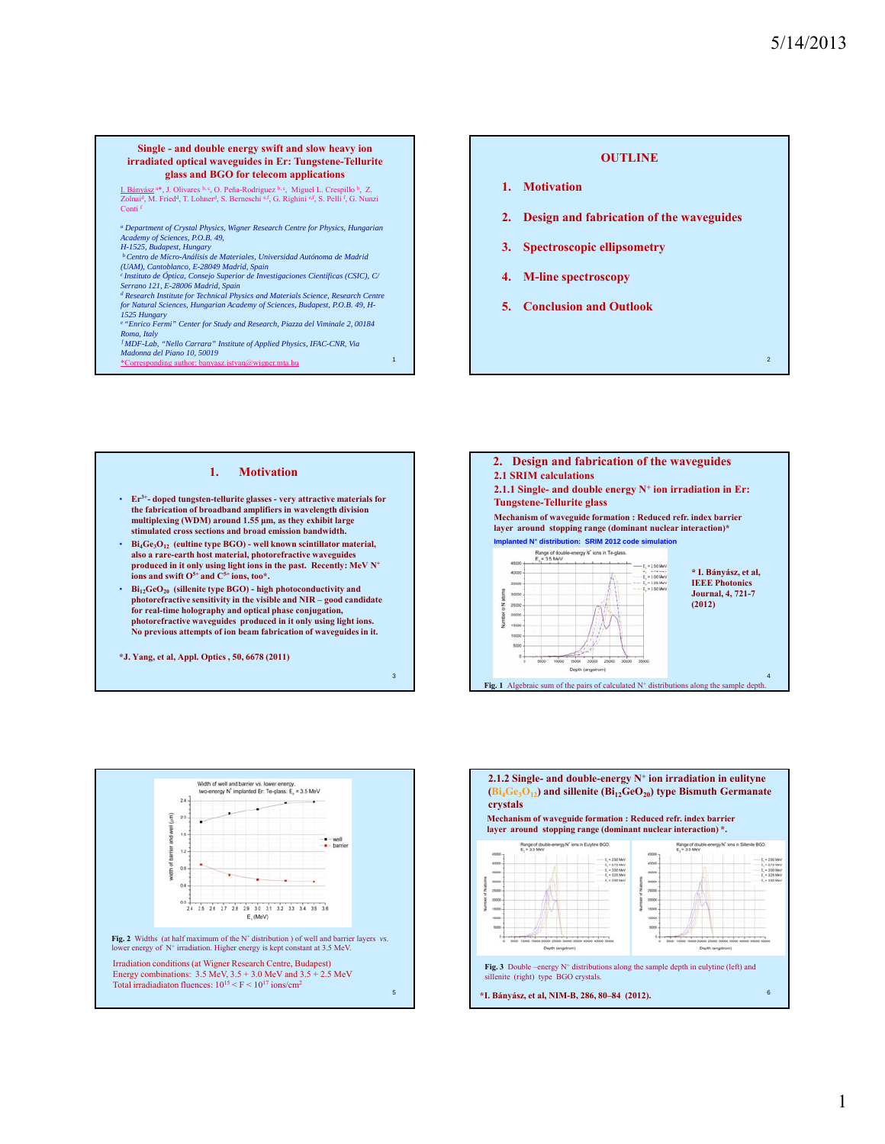2

## **Single - and double energy swift and slow heavy ion irradiated optical waveguides in Er: Tungstene-Tellurite glass and BGO for telecom applications**

I. Bányász <sup>a\*</sup>, J. Olivares b, c, O. Peña-Rodriguez <sup>b, c</sup>, Miguel L. Crespillo <sup>b</sup>, Z.<br>Zolnai<sup>d</sup>, M. Fried<sup>d</sup>, T. Lohner<sup>d</sup>, S. Berneschi <sup>e,f</sup>, G. Righini <sup>e,f</sup>, S. Pelli <sup>f</sup>, G. Nunzi Conti f

*<sup>a</sup> Department of Crystal Physics, Wigner Research Centre for Physics, Hungarian Academy of Sciences, P.O.B. 49,*

*H-1525, Budapest, Hungary<br><sup>b</sup> Centro de Micro-Análisis de Materiales, Universidad Autónoma de Madrid* 

*(UAM), Cantoblanco, E-28049 Madrid, Spain*

<sup>c</sup>Instituto de Óptica, Consejo Superior de Investigaciones Científicas (CSIC), C/<br>Serrano 121, E-28006 Madrid, Spain<br><sup>d</sup> Research Institute for Technical Physics and Materials Science, Research Centre

*for Natural Sciences, Hungarian Academy of Sciences, Budapest, P.O.B. 49, H-*

*1525 Hungary e "Enrico Fermi" Center for Study and Research, Piazza del Viminale 2, 00184 Roma, Italy f MDF-Lab, "Nello Carrara" Institute of Applied Physics, IFAC-CNR, Via* 

*Madonna del Piano 10, 50019* \*Corresponding author: banyasz.istvan@wigner.mta.hu <sup>1</sup>

## **OUTLINE**

- **1. Motivation**
- **2. Design and fabrication of the waveguides**
- **3. Spectroscopic ellipsometry**
- **4. M-line spectroscopy**
- **5. Conclusion and Outlook**

## **1. Motivation**

- **Er3+- doped tungsten-tellurite glasses very attractive materials for the fabrication of broadband amplifiers in wavelength division multiplexing (WDM) around 1.55 μm, as they exhibit large stimulated cross sections and broad emission bandwidth.**
- **Bi<sub>4</sub>Ge<sub>3</sub>O<sub>12</sub> (eultine type BGO) well known scintillator material, also a rare-earth host material, photorefractive waveguides produced in it only using light ions in the past. Recently: MeV N+ ions and swift O5+ and C5+ ions, too\*.**
- $Bi<sub>12</sub>GeO<sub>20</sub>$  (sillenite type BGO) high photoconductivity and **photorefractive sensitivity in the visible and NIR – good candidate for real-time holography and optical phase conjugation, photorefractive waveguides produced in it only using light ions. No previous attempts of ion beam fabrication of waveguides in it.**

3

**\*J. Yang, et al, Appl. Optics , 50, 6678 (2011)** 





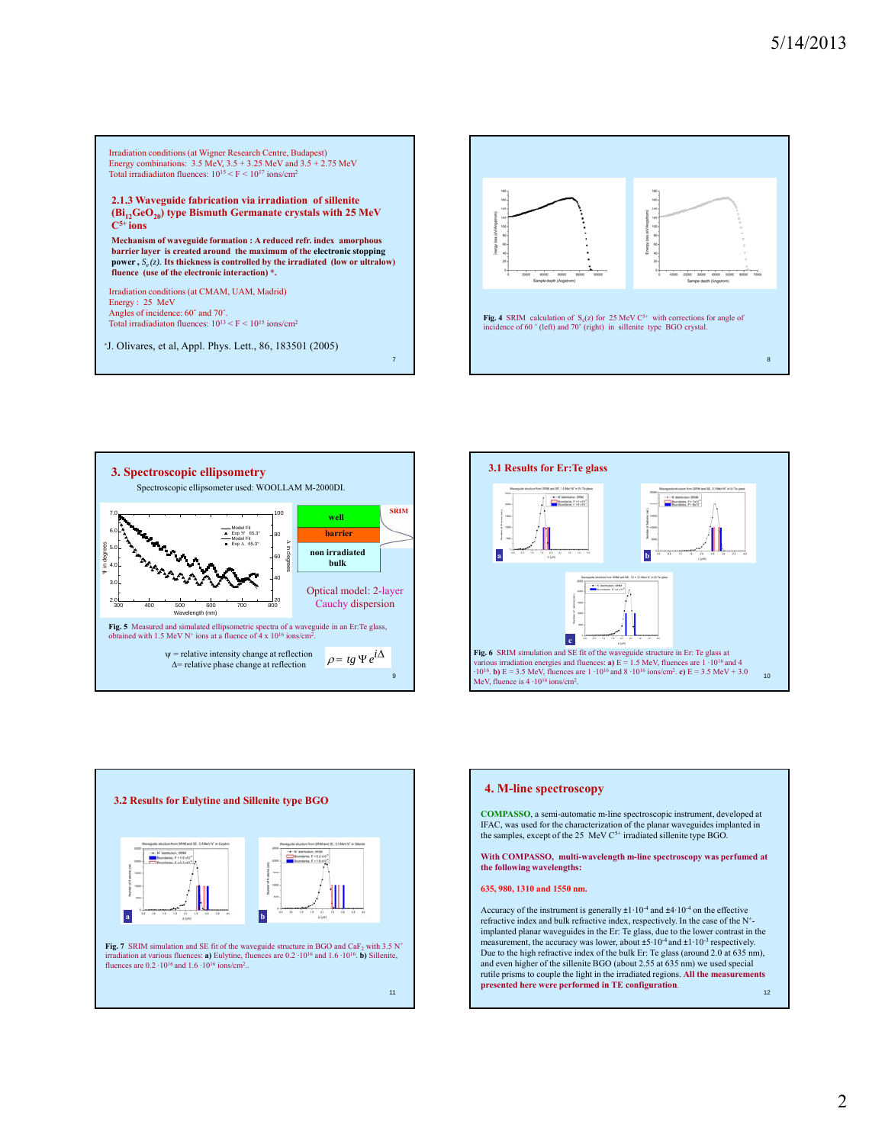











**COMPASSO**, a semi-automatic m-line spectroscopic instrument, developed at IFAC, was used for the characterization of the planar waveguides implanted in the samples, except of the 25 MeV C<sup>5+</sup> irradiated sillenite type BGO.

**With COMPASSO, multi-wavelength m-line spectroscopy was perfumed at the following wavelengths:**

**635 980 1310 and 1550 nm 635, 980, 1310 and 1550 nm.**

 $12^{12}$ Accuracy of the instrument is generally  $\pm 1.10^{-4}$  and  $\pm 4.10^{-4}$  on the effective refractive index and bulk refractive index, respectively. In the case of the N+ implanted planar waveguides in the Er: Te glass, due to the lower contrast in the measurement, the accuracy was lower, about  $\pm 5 \cdot 10^{-4}$  and  $\pm 1 \cdot 10^{-3}$  respectively. Due to the high refractive index of the bulk Er: Te glass (around 2.0 at 635 nm), and even higher of the sillenite BGO (about 2.55 at 635 nm) we used special rutile prisms to couple the light in the irradiated regions. **All the measurements presented here were performed in TE configuration.**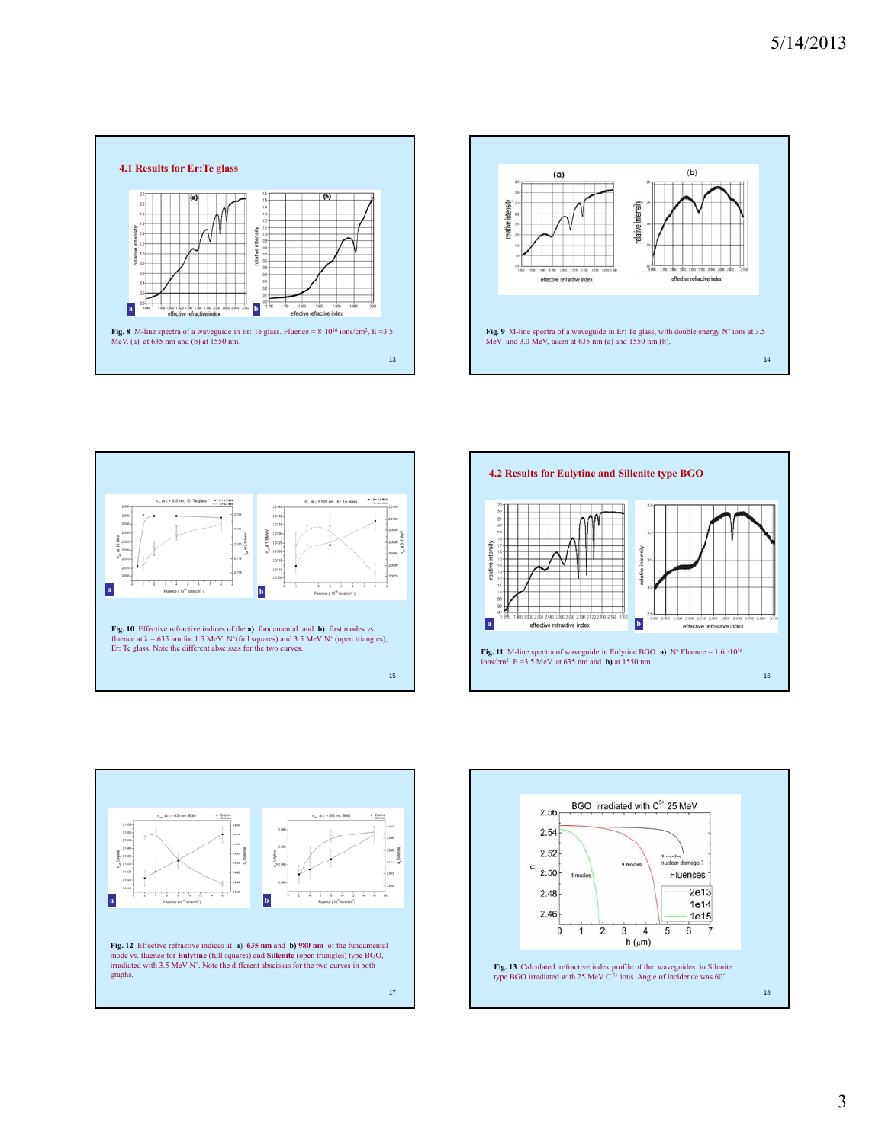